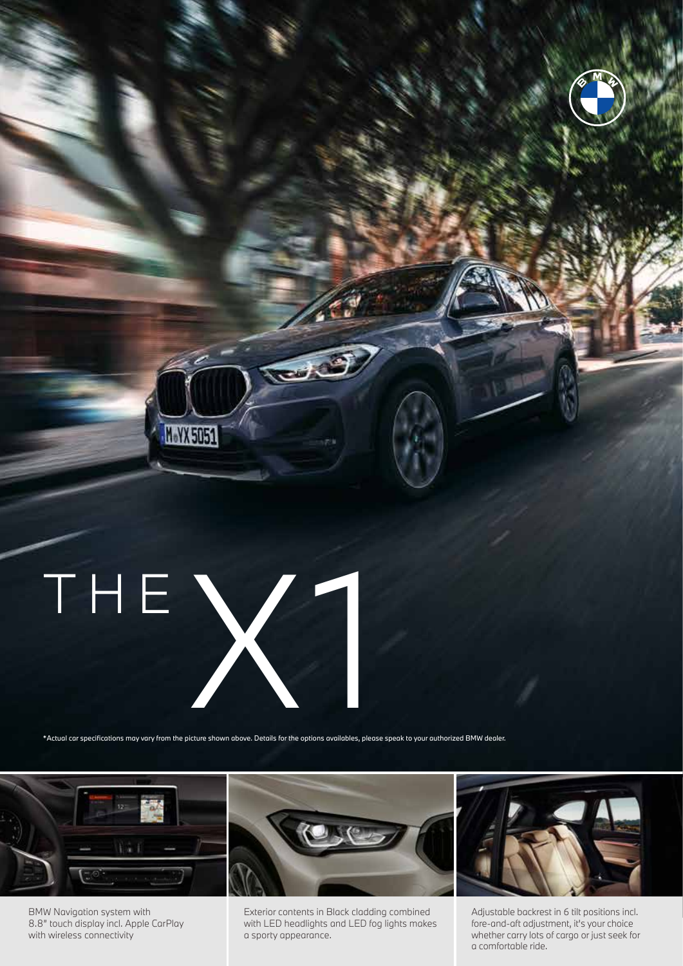## THE X

M.YX 5051

\*Actual car specifications may vary from the picture shown above. Details for the options availables, please speak to your authorized BMW dealer.

 $\overline{u}$ 



BMW Navigation system with 8.8" touch display incl. Apple CarPlay with wireless connectivity



Exterior contents in Black cladding combined with LED headlights and LED fog lights makes a sporty appearance.



Adjustable backrest in 6 tilt positions incl. fore-and-aft adjustment, it's your choice whether carry lots of cargo or just seek for a comfortable ride.